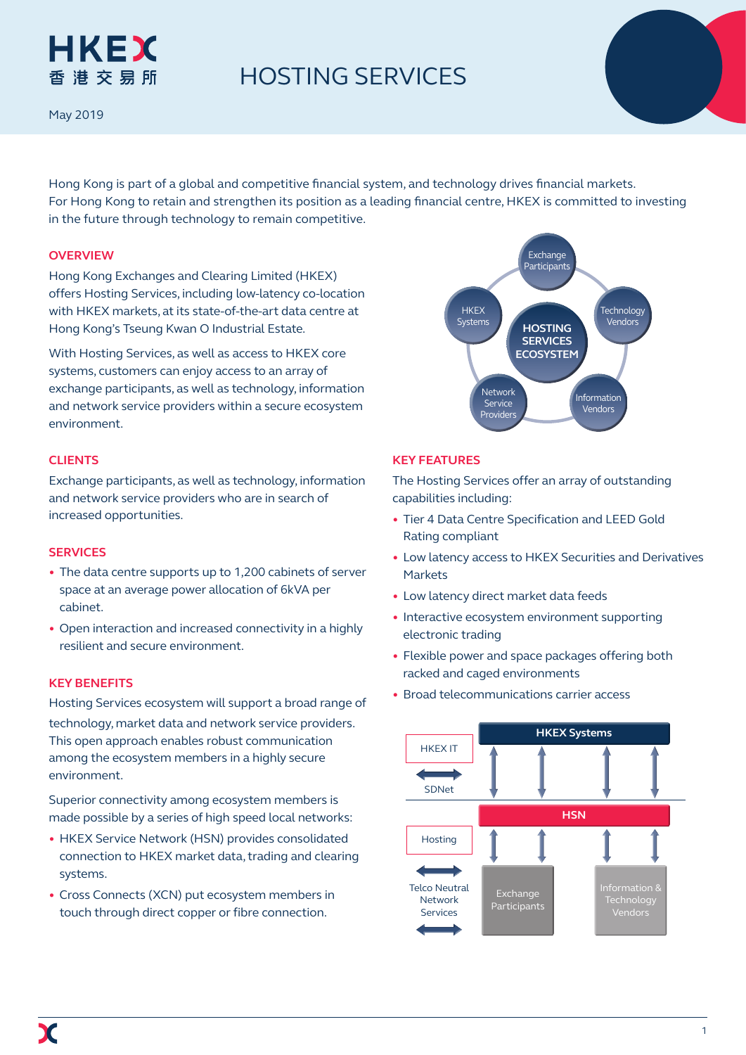# HKEX 香港交易所

# HOSTING SERVICES

May 2019

Hong Kong is part of a global and competitive financial system, and technology drives financial markets. For Hong Kong to retain and strengthen its position as a leading financial centre, HKEX is committed to investing in the future through technology to remain competitive.

### **overview**

Hong Kong Exchanges and Clearing Limited (HKEX) offers Hosting Services, including low-latency co-location with HKEX markets, at its state-of-the-art data centre at Hong Kong's Tseung Kwan O Industrial Estate.

With Hosting Services, as well as access to HKEX core systems, customers can enjoy access to an array of exchange participants, as well as technology, information and network service providers within a secure ecosystem environment.

#### **clients**

Exchange participants, as well as technology, information and network service providers who are in search of increased opportunities.

#### **Services**

- The data centre supports up to 1,200 cabinets of server space at an average power allocation of 6kVA per cabinet.
- Open interaction and increased connectivity in a highly resilient and secure environment.

#### **Key benefits**

Hosting Services ecosystem will support a broad range of technology, market data and network service providers. This open approach enables robust communication among the ecosystem members in a highly secure environment.

Superior connectivity among ecosystem members is made possible by a series of high speed local networks:

- HKEX Service Network (HSN) provides consolidated connection to HKEX market data, trading and clearing systems.
- Cross Connects (XCN) put ecosystem members in touch through direct copper or fibre connection.



### **Key features**

The Hosting Services offer an array of outstanding capabilities including:

- Tier 4 Data Centre Specification and LEED Gold Rating compliant
- Low latency access to HKEX Securities and Derivatives Markets
- Low latency direct market data feeds
- Interactive ecosystem environment supporting electronic trading
- Flexible power and space packages offering both racked and caged environments
- Broad telecommunications carrier access